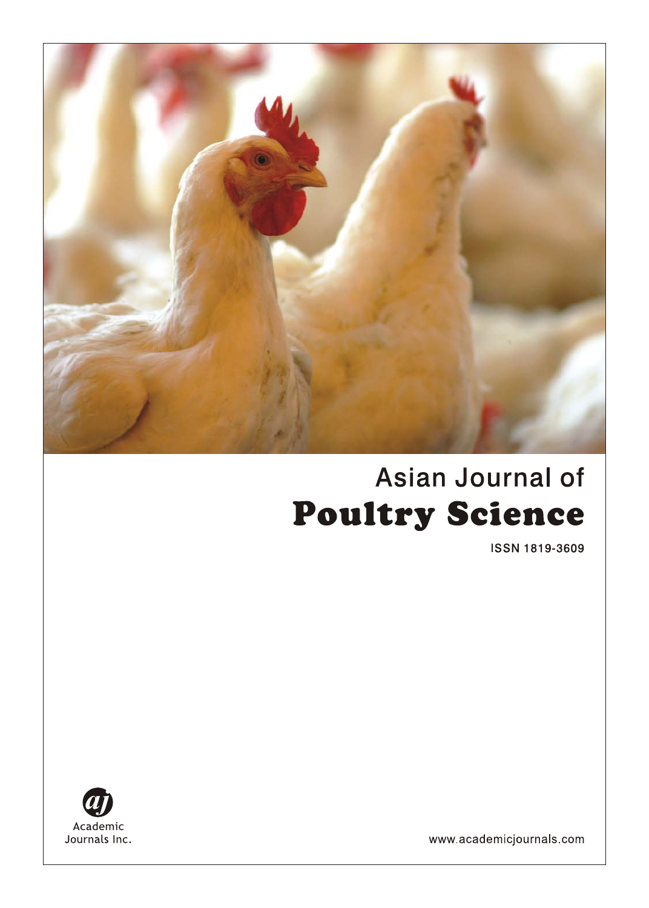

# Asian Journal of **Poultry Science**

ISSN 1819-3609



www.academicjournals.com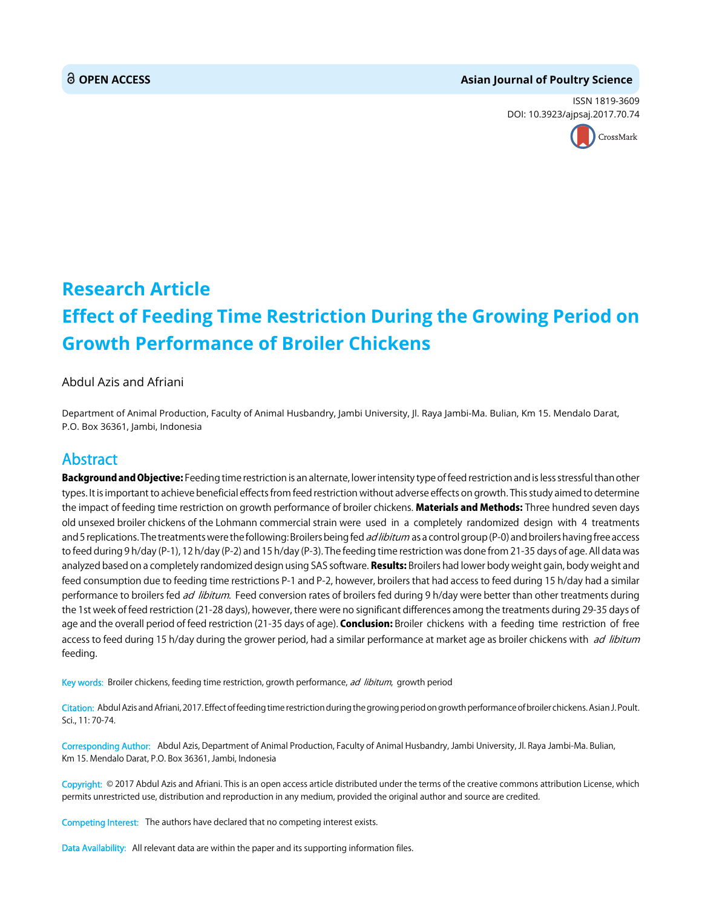#### **OPEN ACCESS Asian Journal of Poultry Science**

ISSN 1819-3609 DOI: 10.3923/ajpsaj.2017.70.74



## **Research Article Effect of Feeding Time Restriction During the Growing Period on Growth Performance of Broiler Chickens**

#### Abdul Azis and Afriani

Department of Animal Production, Faculty of Animal Husbandry, Jambi University, Jl. Raya Jambi-Ma. Bulian, Km 15. Mendalo Darat, P.O. Box 36361, Jambi, Indonesia

### Abstract

Background and Objective: Feeding time restriction is an alternate, lower intensity type of feed restriction and is less stressful than other types. It is important to achieve beneficial effects from feed restriction without adverse effects on growth. This study aimed to determine the impact of feeding time restriction on growth performance of broiler chickens. Materials and Methods: Three hundred seven days old unsexed broiler chickens of the Lohmann commercial strain were used in a completely randomized design with 4 treatments and 5 replications. The treatments were the following: Broilers being fed ad libitum as a control group (P-0) and broilers having free access to feed during 9 h/day (P-1), 12 h/day (P-2) and 15 h/day (P-3). The feeding time restriction was done from 21-35 days of age. All data was analyzed based on a completely randomized design using SAS software. Results: Broilers had lower body weight gain, body weight and feed consumption due to feeding time restrictions P-1 and P-2, however, broilers that had access to feed during 15 h/day had a similar performance to broilers fed *ad libitum*. Feed conversion rates of broilers fed during 9 h/day were better than other treatments during the 1st week of feed restriction (21-28 days), however, there were no significant differences among the treatments during 29-35 days of age and the overall period of feed restriction (21-35 days of age). Conclusion: Broiler chickens with a feeding time restriction of free access to feed during 15 h/day during the grower period, had a similar performance at market age as broiler chickens with ad libitum feeding.

Key words: Broiler chickens, feeding time restriction, growth performance, ad libitum, growth period

Citation: Abdul Azis and Afriani, 2017. Effect of feeding time restriction during the growing period on growth performance of broiler chickens. Asian J. Poult. Sci., 11: 70-74.

Corresponding Author: Abdul Azis, Department of Animal Production, Faculty of Animal Husbandry, Jambi University, Jl. Raya Jambi-Ma. Bulian, Km 15. Mendalo Darat, P.O. Box 36361, Jambi, Indonesia

Copyright: © 2017 Abdul Azis and Afriani. This is an open access article distributed under the terms of the creative commons attribution License, which permits unrestricted use, distribution and reproduction in any medium, provided the original author and source are credited.

Competing Interest: The authors have declared that no competing interest exists.

Data Availability: All relevant data are within the paper and its supporting information files.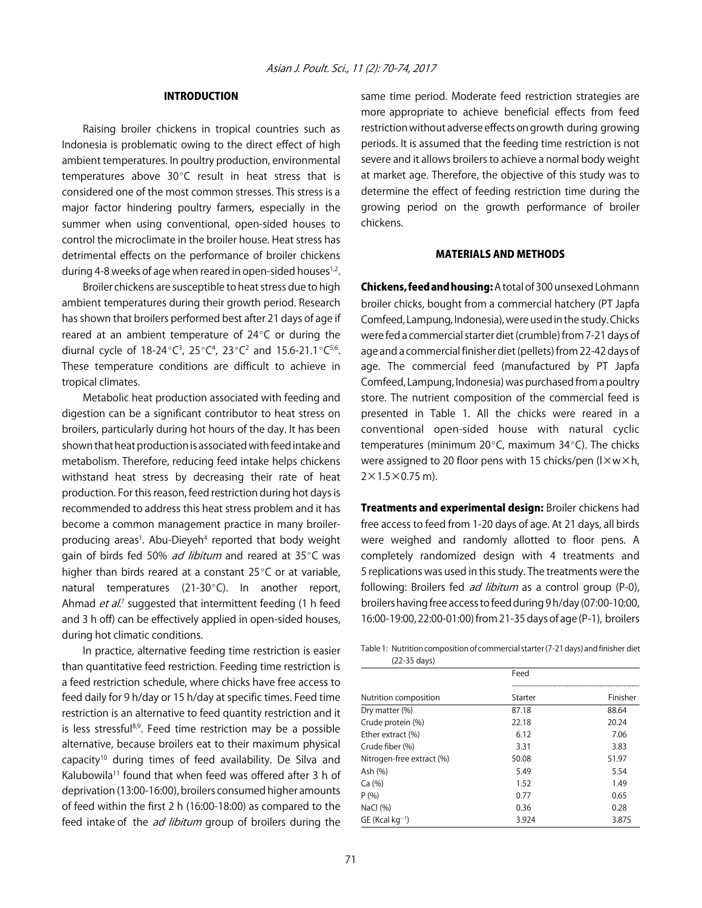#### INTRODUCTION

Raising broiler chickens in tropical countries such as Indonesia is problematic owing to the direct effect of high ambient temperatures. In poultry production, environmental temperatures above  $30^{\circ}$ C result in heat stress that is considered one of the most common stresses. This stress is a major factor hindering poultry farmers, especially in the summer when using conventional, open-sided houses to control the microclimate in the broiler house. Heat stress has detrimental effects on the performance of broiler chickens during 4-8 weeks of age when reared in open-sided houses $1,2$ .

Broiler chickens are susceptible to heat stress due to high ambient temperatures during their growth period. Research has shown that broilers performed best after 21 days of age if reared at an ambient temperature of  $24^{\circ}$ C or during the diurnal cycle of 18-24°C<sup>3</sup>, 25°C<sup>4</sup>, 23°C<sup>2</sup> and 15.6-21.1°C<sup>5,6</sup>. These temperature conditions are difficult to achieve in tropical climates.

Metabolic heat production associated with feeding and digestion can be a significant contributor to heat stress on broilers, particularly during hot hours of the day. It has been shown that heat production is associated with feed intake and metabolism. Therefore, reducing feed intake helps chickens withstand heat stress by decreasing their rate of heat production. For this reason, feed restriction during hot days is recommended to address this heat stress problem and it has become a common management practice in many broilerproducing areas<sup>1</sup>. Abu-Dieyeh<sup>4</sup> reported that body weight gain of birds fed 50% ad libitum and reared at  $35^{\circ}$ C was higher than birds reared at a constant  $25^{\circ}$ C or at variable, natural temperatures (21-30 $^{\circ}$ C). In another report, Ahmad *et al.*<sup>7</sup> suggested that intermittent feeding (1 h feed and 3 h off) can be effectively applied in open-sided houses, during hot climatic conditions.

In practice, alternative feeding time restriction is easier than quantitative feed restriction. Feeding time restriction is a feed restriction schedule, where chicks have free access to feed daily for 9 h/day or 15 h/day at specific times. Feed time restriction is an alternative to feed quantity restriction and it is less stressful<sup>8,9</sup>. Feed time restriction may be a possible alternative, because broilers eat to their maximum physical capacity<sup>10</sup> during times of feed availability. De Silva and Kalubowila<sup>11</sup> found that when feed was offered after 3 h of deprivation (13:00-16:00), broilers consumed higher amounts of feed within the first 2 h (16:00-18:00) as compared to the feed intake of the *ad libitum* group of broilers during the

same time period. Moderate feed restriction strategies are more appropriate to achieve beneficial effects from feed restriction without adverse effects on growth during growing periods. It is assumed that the feeding time restriction is not severe and it allows broilers to achieve a normal body weight at market age. Therefore, the objective of this study was to determine the effect of feeding restriction time during the growing period on the growth performance of broiler chickens.

#### MATERIALS AND METHODS

Chickens, feed and housing: A total of 300 unsexed Lohmann broiler chicks, bought from a commercial hatchery (PT Japfa Comfeed, Lampung, Indonesia), were used in the study. Chicks were fed a commercial starter diet (crumble) from 7-21 days of age and a commercial finisher diet (pellets) from 22-42 days of age. The commercial feed (manufactured by PT Japfa Comfeed, Lampung, Indonesia) was purchased from a poultry store. The nutrient composition of the commercial feed is presented in Table 1. All the chicks were reared in a conventional open-sided house with natural cyclic temperatures (minimum  $20^{\circ}$ C, maximum 34 $^{\circ}$ C). The chicks were assigned to 20 floor pens with 15 chicks/pen ( $1 \times w \times h$ ,  $2 \times 1.5 \times 0.75$  m).

**Treatments and experimental design:** Broiler chickens had free access to feed from 1-20 days of age. At 21 days, all birds were weighed and randomly allotted to floor pens. A completely randomized design with 4 treatments and 5 replications was used in this study. The treatments were the following: Broilers fed *ad libitum* as a control group (P-0), broilers having free access to feed during 9 h/day (07:00-10:00, 16:00-19:00, 22:00-01:00) from 21-35 days of age (P-1), broilers

Table 1: Nutrition composition of commercial starter (7-21 days) and finisher diet (22-35 days)

|                               | Feed    |          |  |
|-------------------------------|---------|----------|--|
| Nutrition composition         | Starter | Finisher |  |
| Dry matter (%)                | 87.18   | 88.64    |  |
| Crude protein (%)             | 22.18   | 20.24    |  |
| Ether extract (%)             | 6.12    | 7.06     |  |
| Crude fiber (%)               | 3.31    | 3.83     |  |
| Nitrogen-free extract (%)     | 50.08   | 51.97    |  |
| Ash (%)                       | 5.49    | 5.54     |  |
| Ca (%)                        | 1.52    | 1.49     |  |
| P(% )                         | 0.77    | 0.65     |  |
| NaCl $(% )$                   | 0.36    | 0.28     |  |
| $GE$ (Kcal kg <sup>-1</sup> ) | 3.924   | 3.875    |  |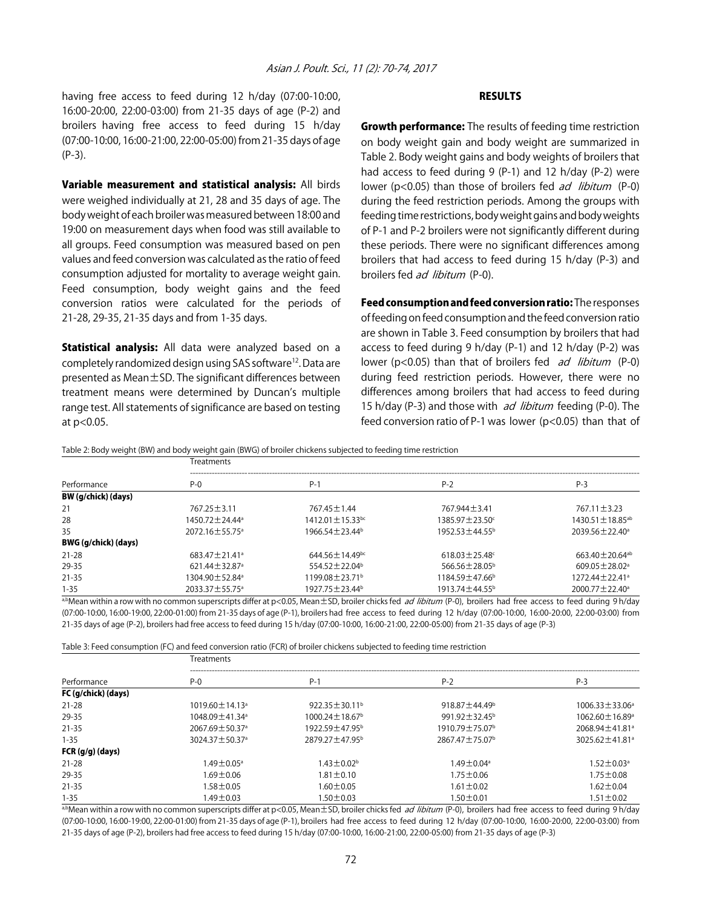having free access to feed during 12 h/day (07:00-10:00, 16:00-20:00, 22:00-03:00) from 21-35 days of age (P-2) and broilers having free access to feed during 15 h/day (07:00-10:00, 16:00-21:00, 22:00-05:00) from 21-35 days of age (P-3).

Variable measurement and statistical analysis: All birds were weighed individually at 21, 28 and 35 days of age. The body weight of each broiler was measured between 18:00 and 19:00 on measurement days when food was still available to all groups. Feed consumption was measured based on pen values and feed conversion was calculated as the ratio of feed consumption adjusted for mortality to average weight gain. Feed consumption, body weight gains and the feed conversion ratios were calculated for the periods of 21-28, 29-35, 21-35 days and from 1-35 days.

**Statistical analysis:** All data were analyzed based on a completely randomized design using SAS software<sup>12</sup>. Data are presented as Mean±SD. The significant differences between treatment means were determined by Duncan's multiple range test. All statements of significance are based on testing at p<0.05.

#### **RESULTS**

**Growth performance:** The results of feeding time restriction on body weight gain and body weight are summarized in Table 2. Body weight gains and body weights of broilers that had access to feed during 9 (P-1) and 12 h/day (P-2) were lower (p<0.05) than those of broilers fed *ad libitum* (P-0) during the feed restriction periods. Among the groups with feeding time restrictions, body weight gains and body weights of P-1 and P-2 broilers were not significantly different during these periods. There were no significant differences among broilers that had access to feed during 15 h/day (P-3) and broilers fed ad libitum (P-0).

Feed consumption and feed conversion ratio: The responses of feeding on feed consumption and the feed conversion ratio are shown in Table 3. Feed consumption by broilers that had access to feed during 9 h/day (P-1) and 12 h/day (P-2) was lower ( $p$ <0.05) than that of broilers fed *ad libitum* (P-0) during feed restriction periods. However, there were no differences among broilers that had access to feed during 15 h/day (P-3) and those with *ad libitum* feeding (P-0). The feed conversion ratio of P-1 was lower (p<0.05) than that of

Table 2: Body weight (BW) and body weight gain (BWG) of broiler chickens subjected to feeding time restriction

| Performance                                                                              | <b>Treatments</b>                                                                     |                                 |                                   |                                  |  |
|------------------------------------------------------------------------------------------|---------------------------------------------------------------------------------------|---------------------------------|-----------------------------------|----------------------------------|--|
|                                                                                          | $P - Q$                                                                               | $P-1$                           | $P-2$                             | $P-3$                            |  |
| BW (g/chick) (days)                                                                      |                                                                                       |                                 |                                   |                                  |  |
| 21                                                                                       | 767.25 ± 3.11                                                                         | 767.45 ± 1.44                   | 767.944 ± 3.41                    | $767.11 \pm 3.23$                |  |
| 28                                                                                       | 1450.72 ± 24.44 <sup>a</sup>                                                          | $1412.01 \pm 15.33$ bc          | 1385.97 ± 23.50°                  | 1430.51 ± 18.85 <sup>ab</sup>    |  |
| 35                                                                                       | 2072.16±55.75 <sup>a</sup>                                                            | $1966.54 \pm 23.44^b$           | $1952.53 \pm 44.55^{\circ}$       | $2039.56 \pm 22.40^{\circ}$      |  |
| BWG (g/chick) (days)                                                                     |                                                                                       |                                 |                                   |                                  |  |
| $21 - 28$                                                                                | $683.47 \pm 21.41$ <sup>a</sup>                                                       | $644.56 \pm 14.49$ bc           | $618.03 \pm 25.48$ <sup>c</sup>   | 663.40 $\pm$ 20.64 <sup>ab</sup> |  |
| 29-35                                                                                    | $621.44 \pm 32.87$ <sup>a</sup>                                                       | 554.52 $\pm$ 22.04 <sup>b</sup> | 566.56 $\pm$ 28.05 <sup>b</sup>   | $609.05 \pm 28.02$ <sup>a</sup>  |  |
| $21 - 35$                                                                                | 1304.90 ± 52.84 <sup>a</sup>                                                          | $1199.08 \pm 23.71^{\circ}$     | 1184.59 ± 47.66 <sup>b</sup>      | $1272.44 \pm 22.41^{\circ}$      |  |
| $1 - 35$<br>$\sim$ 1. $\sim$ 2. $\sim$ 3. $\sim$ 3. $\sim$ 3. $\sim$ 3. $\sim$ 3. $\sim$ | 2033.37±55.75 <sup>a</sup><br>$\sim$ $\sim$ $\sim$ $\sim$ $\sim$ $\sim$ $\sim$ $\sim$ | 1927.75 ± 23.44 <sup>b</sup>    | 1913.74 ± 44.55 <sup>b</sup><br>. | $2000.77 \pm 22.40^{\circ}$<br>. |  |

a,bMean within a row with no common superscripts differ at p<0.05, Mean±SD, broiler chicks fed ad libitum (P-0), broilers had free access to feed during 9 h/day (07:00-10:00, 16:00-19:00, 22:00-01:00) from 21-35 days of age (P-1), broilers had free access to feed during 12 h/day (07:00-10:00, 16:00-20:00, 22:00-03:00) from 21-35 days of age (P-2), broilers had free access to feed during 15 h/day (07:00-10:00, 16:00-21:00, 22:00-05:00) from 21-35 days of age (P-3)

Table 3: Feed consumption (FC) and feed conversion ratio (FCR) of broiler chickens subjected to feeding time restriction

| Performance         | <b>Treatments</b>                |                                  |                                 |                                  |  |
|---------------------|----------------------------------|----------------------------------|---------------------------------|----------------------------------|--|
|                     | $P-0$                            | $P-1$                            | $P-2$                           | $P-3$                            |  |
| FC (g/chick) (days) |                                  |                                  |                                 |                                  |  |
| $21 - 28$           | $1019.60 \pm 14.13$ <sup>a</sup> | $922.35 \pm 30.11^{\circ}$       | 918.87 $\pm$ 44.49 <sup>b</sup> | $1006.33 \pm 33.06^a$            |  |
| 29-35               | 1048.09 ± 41.34 <sup>a</sup>     | $1000.24 \pm 18.67$ <sup>b</sup> | 991.92 $\pm$ 32.45 <sup>b</sup> | $1062.60 \pm 16.89$ <sup>a</sup> |  |
| $21 - 35$           | 2067.69 ± 50.37 <sup>a</sup>     | 1922.59 ± 47.95 <sup>b</sup>     | 1910.79 ± 75.07 <sup>b</sup>    | 2068.94 ± 41.81 <sup>a</sup>     |  |
| $1 - 35$            | 3024.37±50.37 <sup>a</sup>       | 2879.27 ± 47.95 <sup>b</sup>     | 2867.47 ± 75.07 <sup>b</sup>    | 3025.62 ± 41.81 <sup>a</sup>     |  |
| FCR (g/g) (days)    |                                  |                                  |                                 |                                  |  |
| $21 - 28$           | $1.49 + 0.05$ a                  | $1.43 \pm 0.02^b$                | $149 + 0.04$ <sup>a</sup>       | $1.52 \pm 0.03$ <sup>a</sup>     |  |
| 29-35               | $169 + 0.06$                     | $1.81 \pm 0.10$                  | $1.75 \pm 0.06$                 | $1.75 \pm 0.08$                  |  |
| $21 - 35$           | $1.58 \pm 0.05$                  | $.60 \pm 0.05$                   | $1.61 \pm 0.02$                 | $1.62 \pm 0.04$                  |  |
| $1 - 35$            | $.49 \pm 0.03$                   | $.50 \pm 0.03$                   | $.50 \pm 0.01$                  | $1.51 \pm 0.02$                  |  |

a,bMean within a row with no common superscripts differ at p<0.05, Mean ±SD, broiler chicks fed ad libitum (P-0), broilers had free access to feed during 9 h/day (07:00-10:00, 16:00-19:00, 22:00-01:00) from 21-35 days of age (P-1), broilers had free access to feed during 12 h/day (07:00-10:00, 16:00-20:00, 22:00-03:00) from 21-35 days of age (P-2), broilers had free access to feed during 15 h/day (07:00-10:00, 16:00-21:00, 22:00-05:00) from 21-35 days of age (P-3)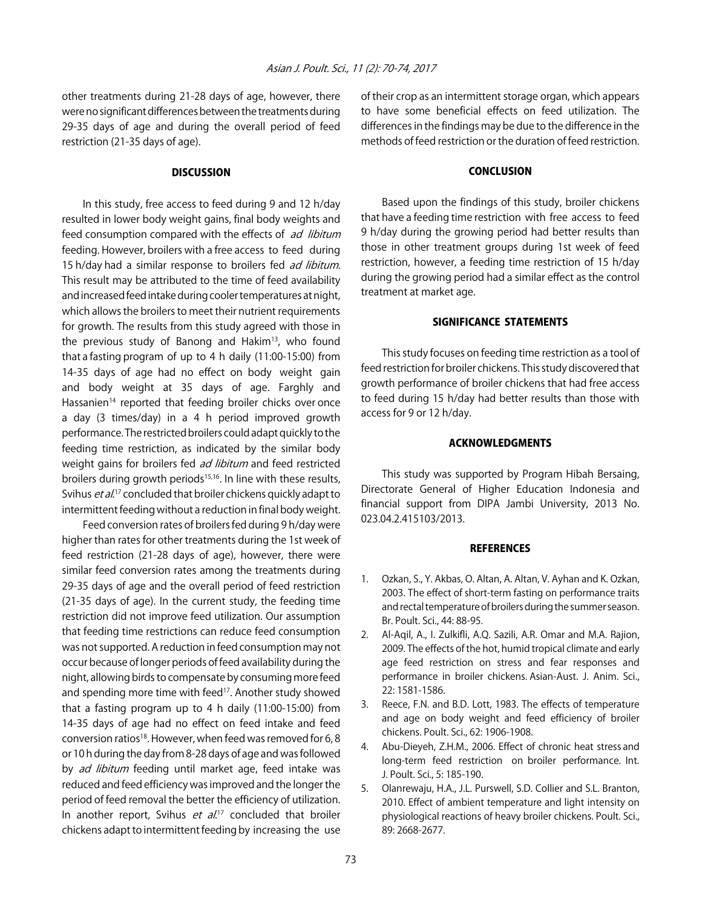other treatments during 21-28 days of age, however, there were no significant differences between the treatments during 29-35 days of age and during the overall period of feed restriction (21-35 days of age).

#### **DISCUSSION**

In this study, free access to feed during 9 and 12 h/day resulted in lower body weight gains, final body weights and feed consumption compared with the effects of ad libitum feeding. However, broilers with a free access to feed during 15 h/day had a similar response to broilers fed ad libitum. This result may be attributed to the time of feed availability and increased feed intake during cooler temperatures at night, which allows the broilers to meet their nutrient requirements for growth. The results from this study agreed with those in the previous study of Banong and Hakim<sup>13</sup>, who found that a fasting program of up to 4 h daily (11:00-15:00) from 14-35 days of age had no effect on body weight gain and body weight at 35 days of age. Farghly and Hassanien<sup>14</sup> reported that feeding broiler chicks over once a day (3 times/day) in a 4 h period improved growth performance. The restricted broilers could adapt quickly to the feeding time restriction, as indicated by the similar body weight gains for broilers fed ad libitum and feed restricted broilers during growth periods<sup>15,16</sup>. In line with these results, Svihus *et al*.<sup>17</sup> concluded that broiler chickens quickly adapt to intermittent feeding without a reduction in final body weight.

Feed conversion rates of broilers fed during 9 h/day were higher than rates for other treatments during the 1st week of feed restriction (21-28 days of age), however, there were similar feed conversion rates among the treatments during 29-35 days of age and the overall period of feed restriction (21-35 days of age). In the current study, the feeding time restriction did not improve feed utilization. Our assumption that feeding time restrictions can reduce feed consumption was not supported. A reduction in feed consumption may not occur because of longer periods of feed availability during the night, allowing birds to compensate by consuming more feed and spending more time with feed<sup>17</sup>. Another study showed that a fasting program up to 4 h daily (11:00-15:00) from 14-35 days of age had no effect on feed intake and feed conversion ratios<sup>18</sup>. However, when feed was removed for 6, 8 or 10 h during the day from 8-28 days of age and was followed by *ad libitum* feeding until market age, feed intake was reduced and feed efficiency was improved and the longer the period of feed removal the better the efficiency of utilization. In another report, Svihus *et al*.<sup>17</sup> concluded that broiler chickens adapt to intermittent feeding by increasing the use of their crop as an intermittent storage organ, which appears to have some beneficial effects on feed utilization. The differences in the findings may be due to the difference in the methods of feed restriction or the duration of feed restriction.

#### CONCLUSION

Based upon the findings of this study, broiler chickens that have a feeding time restriction with free access to feed 9 h/day during the growing period had better results than those in other treatment groups during 1st week of feed restriction, however, a feeding time restriction of 15 h/day during the growing period had a similar effect as the control treatment at market age.

#### SIGNIFICANCE STATEMENTS

This study focuses on feeding time restriction as a tool of feed restriction for broiler chickens. This study discovered that growth performance of broiler chickens that had free access to feed during 15 h/day had better results than those with access for 9 or 12 h/day.

#### ACKNOWLEDGMENTS

This study was supported by Program Hibah Bersaing, Directorate General of Higher Education Indonesia and financial support from DIPA Jambi University, 2013 No. 023.04.2.415103/2013.

#### **REFERENCES**

- 1. Ozkan, S., Y. Akbas, O. Altan, A. Altan, V. Ayhan and K. Ozkan, 2003. The effect of short-term fasting on performance traits and rectal temperature of broilers during the summer season. Br. Poult. Sci., 44: 88-95.
- 2. Al-Aqil, A., I. Zulkifli, A.Q. Sazili, A.R. Omar and M.A. Rajion, 2009. The effects of the hot, humid tropical climate and early age feed restriction on stress and fear responses and performance in broiler chickens. Asian-Aust. J. Anim. Sci., 22: 1581-1586.
- 3. Reece, F.N. and B.D. Lott, 1983. The effects of temperature and age on body weight and feed efficiency of broiler chickens. Poult. Sci., 62: 1906-1908.
- 4. Abu-Dieyeh, Z.H.M., 2006. Effect of chronic heat stress and long-term feed restriction on broiler performance. Int. J. Poult. Sci., 5: 185-190.
- 5. Olanrewaju, H.A., J.L. Purswell, S.D. Collier and S.L. Branton, 2010. Effect of ambient temperature and light intensity on physiological reactions of heavy broiler chickens. Poult. Sci., 89: 2668-2677.